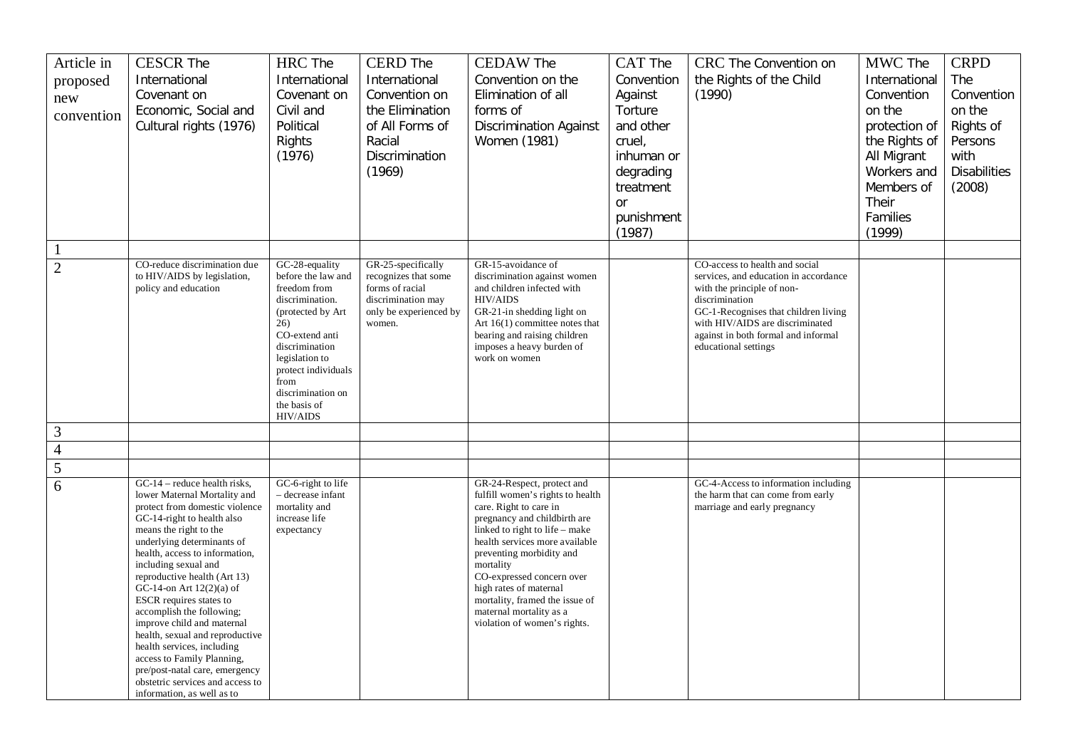| Article in<br>proposed<br>new<br>convention | <b>CESCR The</b><br>International<br>Covenant on<br>Economic, Social and<br>Cultural rights (1976)                                                                                                                                                                                                                                                                                                                                                                                                                                                                                                    | <b>HRC</b> The<br>International<br>Covenant on<br>Civil and<br>Political<br>Rights<br>(1976)                                                                                                                                   | <b>CERD</b> The<br>International<br>Convention on<br>the Elimination<br>of All Forms of<br>Racial<br>Discrimination | <b>CEDAW The</b><br>Convention on the<br>Elimination of all<br>forms of<br><b>Discrimination Against</b><br>Women (1981)                                                                                                                                                                                                                                                                  | CAT The<br>Convention<br>Against<br>Torture<br>and other<br>cruel,<br>inhuman or | CRC The Convention on<br>the Rights of the Child<br>(1990)                                                                                                                                                                      | MWC The<br>International<br>Convention<br>on the<br>protection of<br>the Rights of<br>All Migrant | <b>CRPD</b><br>The<br>Convention<br>on the<br>Rights of<br>Persons<br>with |
|---------------------------------------------|-------------------------------------------------------------------------------------------------------------------------------------------------------------------------------------------------------------------------------------------------------------------------------------------------------------------------------------------------------------------------------------------------------------------------------------------------------------------------------------------------------------------------------------------------------------------------------------------------------|--------------------------------------------------------------------------------------------------------------------------------------------------------------------------------------------------------------------------------|---------------------------------------------------------------------------------------------------------------------|-------------------------------------------------------------------------------------------------------------------------------------------------------------------------------------------------------------------------------------------------------------------------------------------------------------------------------------------------------------------------------------------|----------------------------------------------------------------------------------|---------------------------------------------------------------------------------------------------------------------------------------------------------------------------------------------------------------------------------|---------------------------------------------------------------------------------------------------|----------------------------------------------------------------------------|
|                                             |                                                                                                                                                                                                                                                                                                                                                                                                                                                                                                                                                                                                       |                                                                                                                                                                                                                                | (1969)                                                                                                              |                                                                                                                                                                                                                                                                                                                                                                                           | degrading<br>treatment<br><b>or</b><br>punishment<br>(1987)                      |                                                                                                                                                                                                                                 | Workers and<br>Members of<br>Their<br>Families<br>(1999)                                          | <b>Disabilities</b><br>(2008)                                              |
| 1                                           | CO-reduce discrimination due                                                                                                                                                                                                                                                                                                                                                                                                                                                                                                                                                                          | GC-28-equality                                                                                                                                                                                                                 | GR-25-specifically                                                                                                  | GR-15-avoidance of                                                                                                                                                                                                                                                                                                                                                                        |                                                                                  | CO-access to health and social                                                                                                                                                                                                  |                                                                                                   |                                                                            |
| $\overline{2}$                              | to HIV/AIDS by legislation,<br>policy and education                                                                                                                                                                                                                                                                                                                                                                                                                                                                                                                                                   | before the law and<br>freedom from<br>discrimination.<br>(protected by Art<br>26)<br>CO-extend anti<br>discrimination<br>legislation to<br>protect individuals<br>from<br>discrimination on<br>the basis of<br><b>HIV/AIDS</b> | recognizes that some<br>forms of racial<br>discrimination may<br>only be experienced by<br>women.                   | discrimination against women<br>and children infected with<br><b>HIV/AIDS</b><br>GR-21-in shedding light on<br>Art $16(1)$ committee notes that<br>bearing and raising children<br>imposes a heavy burden of<br>work on women                                                                                                                                                             |                                                                                  | services, and education in accordance<br>with the principle of non-<br>discrimination<br>GC-1-Recognises that children living<br>with HIV/AIDS are discriminated<br>against in both formal and informal<br>educational settings |                                                                                                   |                                                                            |
| 3                                           |                                                                                                                                                                                                                                                                                                                                                                                                                                                                                                                                                                                                       |                                                                                                                                                                                                                                |                                                                                                                     |                                                                                                                                                                                                                                                                                                                                                                                           |                                                                                  |                                                                                                                                                                                                                                 |                                                                                                   |                                                                            |
| $\overline{4}$                              |                                                                                                                                                                                                                                                                                                                                                                                                                                                                                                                                                                                                       |                                                                                                                                                                                                                                |                                                                                                                     |                                                                                                                                                                                                                                                                                                                                                                                           |                                                                                  |                                                                                                                                                                                                                                 |                                                                                                   |                                                                            |
| 5                                           |                                                                                                                                                                                                                                                                                                                                                                                                                                                                                                                                                                                                       |                                                                                                                                                                                                                                |                                                                                                                     |                                                                                                                                                                                                                                                                                                                                                                                           |                                                                                  |                                                                                                                                                                                                                                 |                                                                                                   |                                                                            |
| 6                                           | $GC-14$ – reduce health risks,<br>lower Maternal Mortality and<br>protect from domestic violence<br>GC-14-right to health also<br>means the right to the<br>underlying determinants of<br>health, access to information,<br>including sexual and<br>reproductive health (Art 13)<br>GC-14-on Art 12(2)(a) of<br>ESCR requires states to<br>accomplish the following;<br>improve child and maternal<br>health, sexual and reproductive<br>health services, including<br>access to Family Planning,<br>pre/post-natal care, emergency<br>obstetric services and access to<br>information, as well as to | GC-6-right to life<br>- decrease infant<br>mortality and<br>increase life<br>expectancy                                                                                                                                        |                                                                                                                     | GR-24-Respect, protect and<br>fulfill women's rights to health<br>care. Right to care in<br>pregnancy and childbirth are<br>linked to right to life – make<br>health services more available<br>preventing morbidity and<br>mortality<br>CO-expressed concern over<br>high rates of maternal<br>mortality, framed the issue of<br>maternal mortality as a<br>violation of women's rights. |                                                                                  | GC-4-Access to information including<br>the harm that can come from early<br>marriage and early pregnancy                                                                                                                       |                                                                                                   |                                                                            |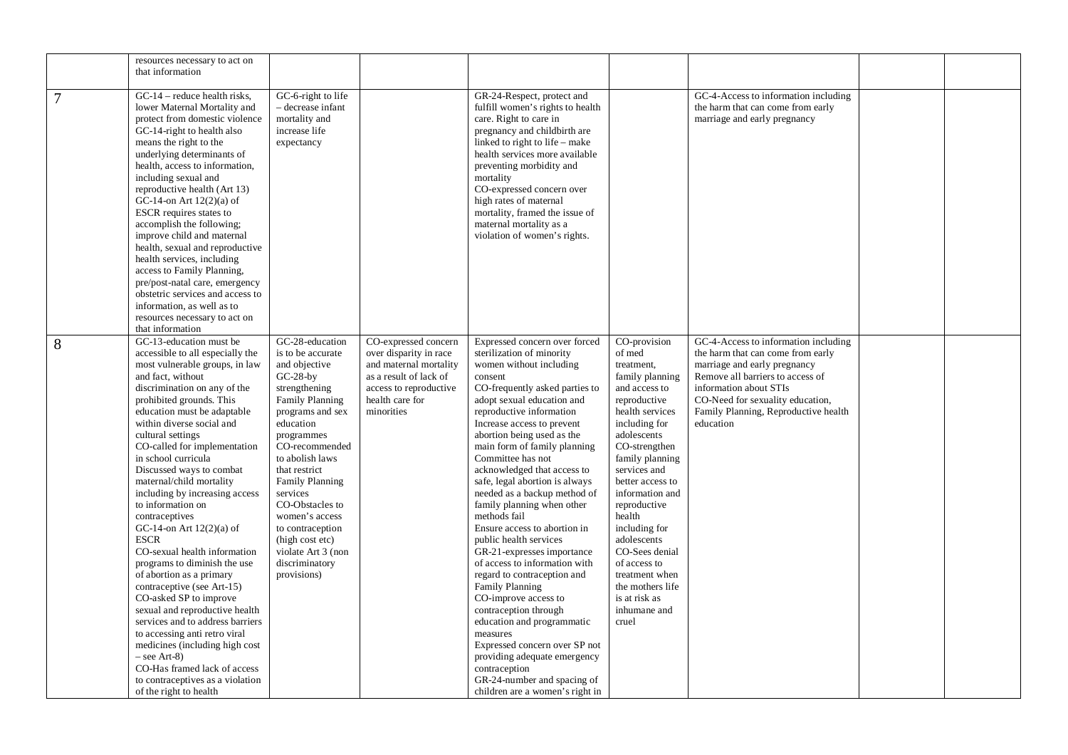|                | resources necessary to act on<br>that information                                                                                                                                                                                                                                                                                                                                                                                                                                                                                                                                                                                                                                                                                                                                                                                                                                                                 |                                                                                                                                                                                                                                                                                                                                                                                        |                                                                                                                                                               |                                                                                                                                                                                                                                                                                                                                                                                                                                                                                                                                                                                                                                                                                                                                                                                                                                                                                               |                                                                                                                                                                                                                                                                                                                                                                                                                    |                                                                                                                                                                                                                                                                  |  |
|----------------|-------------------------------------------------------------------------------------------------------------------------------------------------------------------------------------------------------------------------------------------------------------------------------------------------------------------------------------------------------------------------------------------------------------------------------------------------------------------------------------------------------------------------------------------------------------------------------------------------------------------------------------------------------------------------------------------------------------------------------------------------------------------------------------------------------------------------------------------------------------------------------------------------------------------|----------------------------------------------------------------------------------------------------------------------------------------------------------------------------------------------------------------------------------------------------------------------------------------------------------------------------------------------------------------------------------------|---------------------------------------------------------------------------------------------------------------------------------------------------------------|-----------------------------------------------------------------------------------------------------------------------------------------------------------------------------------------------------------------------------------------------------------------------------------------------------------------------------------------------------------------------------------------------------------------------------------------------------------------------------------------------------------------------------------------------------------------------------------------------------------------------------------------------------------------------------------------------------------------------------------------------------------------------------------------------------------------------------------------------------------------------------------------------|--------------------------------------------------------------------------------------------------------------------------------------------------------------------------------------------------------------------------------------------------------------------------------------------------------------------------------------------------------------------------------------------------------------------|------------------------------------------------------------------------------------------------------------------------------------------------------------------------------------------------------------------------------------------------------------------|--|
| $\overline{7}$ | $GC-14$ – reduce health risks,<br>lower Maternal Mortality and<br>protect from domestic violence<br>GC-14-right to health also<br>means the right to the<br>underlying determinants of<br>health, access to information,<br>including sexual and<br>reproductive health (Art 13)<br>GC-14-on Art $12(2)(a)$ of<br>ESCR requires states to<br>accomplish the following;<br>improve child and maternal<br>health, sexual and reproductive<br>health services, including<br>access to Family Planning,<br>pre/post-natal care, emergency<br>obstetric services and access to<br>information, as well as to<br>resources necessary to act on<br>that information                                                                                                                                                                                                                                                      | GC-6-right to life<br>- decrease infant<br>mortality and<br>increase life<br>expectancy                                                                                                                                                                                                                                                                                                |                                                                                                                                                               | GR-24-Respect, protect and<br>fulfill women's rights to health<br>care. Right to care in<br>pregnancy and childbirth are<br>linked to right to life – make<br>health services more available<br>preventing morbidity and<br>mortality<br>CO-expressed concern over<br>high rates of maternal<br>mortality, framed the issue of<br>maternal mortality as a<br>violation of women's rights.                                                                                                                                                                                                                                                                                                                                                                                                                                                                                                     |                                                                                                                                                                                                                                                                                                                                                                                                                    | GC-4-Access to information including<br>the harm that can come from early<br>marriage and early pregnancy                                                                                                                                                        |  |
| 8              | GC-13-education must be<br>accessible to all especially the<br>most vulnerable groups, in law<br>and fact, without<br>discrimination on any of the<br>prohibited grounds. This<br>education must be adaptable<br>within diverse social and<br>cultural settings<br>CO-called for implementation<br>in school curricula<br>Discussed ways to combat<br>maternal/child mortality<br>including by increasing access<br>to information on<br>contraceptives<br>GC-14-on Art $12(2)(a)$ of<br><b>ESCR</b><br>CO-sexual health information<br>programs to diminish the use<br>of abortion as a primary<br>contraceptive (see Art-15)<br>CO-asked SP to improve<br>sexual and reproductive health<br>services and to address barriers<br>to accessing anti retro viral<br>medicines (including high cost<br>$-$ see Art-8)<br>CO-Has framed lack of access<br>to contraceptives as a violation<br>of the right to health | GC-28-education<br>is to be accurate<br>and objective<br>$GC-28$ -by<br>strengthening<br><b>Family Planning</b><br>programs and sex<br>education<br>programmes<br>CO-recommended<br>to abolish laws<br>that restrict<br>Family Planning<br>services<br>CO-Obstacles to<br>women's access<br>to contraception<br>(high cost etc)<br>violate Art 3 (non<br>discriminatory<br>provisions) | CO-expressed concern<br>over disparity in race<br>and maternal mortality<br>as a result of lack of<br>access to reproductive<br>health care for<br>minorities | Expressed concern over forced<br>sterilization of minority<br>women without including<br>consent<br>CO-frequently asked parties to<br>adopt sexual education and<br>reproductive information<br>Increase access to prevent<br>abortion being used as the<br>main form of family planning<br>Committee has not<br>acknowledged that access to<br>safe, legal abortion is always<br>needed as a backup method of<br>family planning when other<br>methods fail<br>Ensure access to abortion in<br>public health services<br>GR-21-expresses importance<br>of access to information with<br>regard to contraception and<br><b>Family Planning</b><br>CO-improve access to<br>contraception through<br>education and programmatic<br>measures<br>Expressed concern over SP not<br>providing adequate emergency<br>contraception<br>GR-24-number and spacing of<br>children are a women's right in | CO-provision<br>of med<br>treatment,<br>family planning<br>and access to<br>reproductive<br>health services<br>including for<br>adolescents<br>CO-strengthen<br>family planning<br>services and<br>better access to<br>information and<br>reproductive<br>health<br>including for<br>adolescents<br>CO-Sees denial<br>of access to<br>treatment when<br>the mothers life<br>is at risk as<br>inhumane and<br>cruel | GC-4-Access to information including<br>the harm that can come from early<br>marriage and early pregnancy<br>Remove all barriers to access of<br>information about STIs<br>CO-Need for sexuality education,<br>Family Planning, Reproductive health<br>education |  |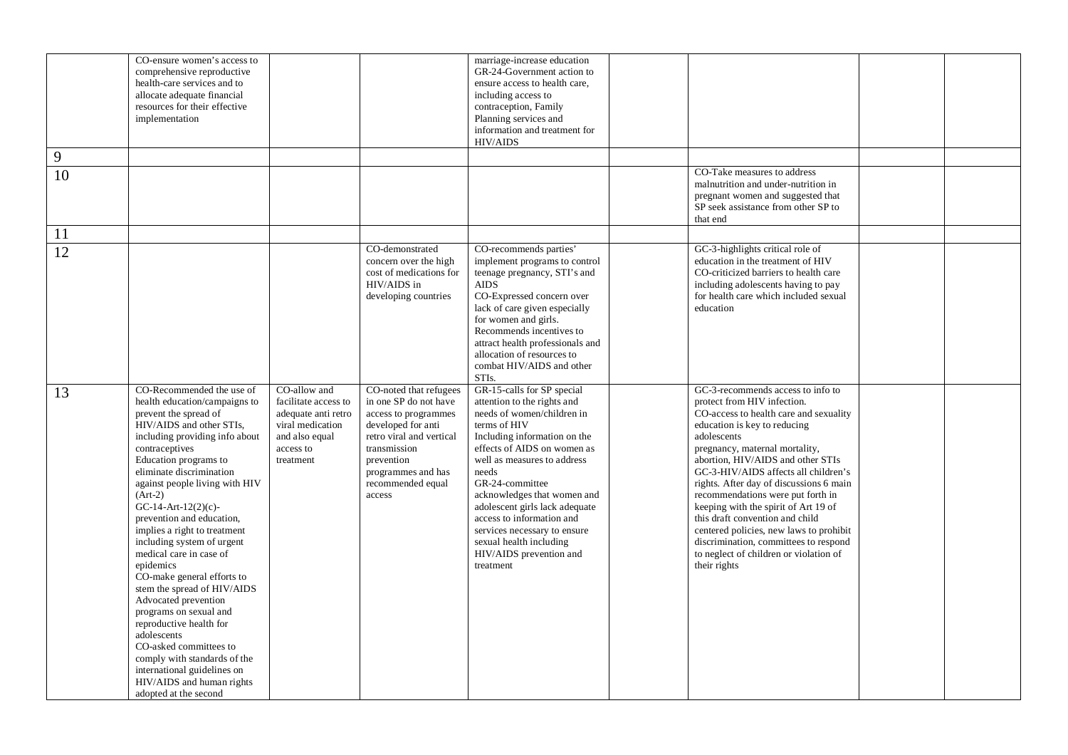| 9  | CO-ensure women's access to<br>comprehensive reproductive<br>health-care services and to<br>allocate adequate financial<br>resources for their effective<br>implementation                                                                                                                                                                                                                                                                                                                                                                                                                                                                                                                                                                |                                                                                                                             |                                                                                                                                                                                                              | marriage-increase education<br>GR-24-Government action to<br>ensure access to health care,<br>including access to<br>contraception, Family<br>Planning services and<br>information and treatment for<br><b>HIV/AIDS</b>                                                                                                                                                                                                            |                                                                                                                                                                                                                                                                                                                                                                                                                                                                                                                                                                                   |  |
|----|-------------------------------------------------------------------------------------------------------------------------------------------------------------------------------------------------------------------------------------------------------------------------------------------------------------------------------------------------------------------------------------------------------------------------------------------------------------------------------------------------------------------------------------------------------------------------------------------------------------------------------------------------------------------------------------------------------------------------------------------|-----------------------------------------------------------------------------------------------------------------------------|--------------------------------------------------------------------------------------------------------------------------------------------------------------------------------------------------------------|------------------------------------------------------------------------------------------------------------------------------------------------------------------------------------------------------------------------------------------------------------------------------------------------------------------------------------------------------------------------------------------------------------------------------------|-----------------------------------------------------------------------------------------------------------------------------------------------------------------------------------------------------------------------------------------------------------------------------------------------------------------------------------------------------------------------------------------------------------------------------------------------------------------------------------------------------------------------------------------------------------------------------------|--|
| 10 |                                                                                                                                                                                                                                                                                                                                                                                                                                                                                                                                                                                                                                                                                                                                           |                                                                                                                             |                                                                                                                                                                                                              |                                                                                                                                                                                                                                                                                                                                                                                                                                    | CO-Take measures to address<br>malnutrition and under-nutrition in<br>pregnant women and suggested that<br>SP seek assistance from other SP to<br>that end                                                                                                                                                                                                                                                                                                                                                                                                                        |  |
| 11 |                                                                                                                                                                                                                                                                                                                                                                                                                                                                                                                                                                                                                                                                                                                                           |                                                                                                                             |                                                                                                                                                                                                              |                                                                                                                                                                                                                                                                                                                                                                                                                                    |                                                                                                                                                                                                                                                                                                                                                                                                                                                                                                                                                                                   |  |
| 12 |                                                                                                                                                                                                                                                                                                                                                                                                                                                                                                                                                                                                                                                                                                                                           |                                                                                                                             | CO-demonstrated<br>concern over the high<br>cost of medications for<br>HIV/AIDS in<br>developing countries                                                                                                   | CO-recommends parties'<br>implement programs to control<br>teenage pregnancy, STI's and<br><b>AIDS</b><br>CO-Expressed concern over<br>lack of care given especially<br>for women and girls.<br>Recommends incentives to<br>attract health professionals and<br>allocation of resources to<br>combat HIV/AIDS and other<br>STI <sub>s</sub> .                                                                                      | GC-3-highlights critical role of<br>education in the treatment of HIV<br>CO-criticized barriers to health care<br>including adolescents having to pay<br>for health care which included sexual<br>education                                                                                                                                                                                                                                                                                                                                                                       |  |
| 13 | CO-Recommended the use of<br>health education/campaigns to<br>prevent the spread of<br>HIV/AIDS and other STIs,<br>including providing info about<br>contraceptives<br>Education programs to<br>eliminate discrimination<br>against people living with HIV<br>$(Art-2)$<br>GC-14-Art-12(2)(c)-<br>prevention and education,<br>implies a right to treatment<br>including system of urgent<br>medical care in case of<br>epidemics<br>CO-make general efforts to<br>stem the spread of HIV/AIDS<br>Advocated prevention<br>programs on sexual and<br>reproductive health for<br>adolescents<br>CO-asked committees to<br>comply with standards of the<br>international guidelines on<br>HIV/AIDS and human rights<br>adopted at the second | CO-allow and<br>facilitate access to<br>adequate anti retro<br>viral medication<br>and also equal<br>access to<br>treatment | CO-noted that refugees<br>in one SP do not have<br>access to programmes<br>developed for anti<br>retro viral and vertical<br>transmission<br>prevention<br>programmes and has<br>recommended equal<br>access | GR-15-calls for SP special<br>attention to the rights and<br>needs of women/children in<br>terms of HIV<br>Including information on the<br>effects of AIDS on women as<br>well as measures to address<br>needs<br>GR-24-committee<br>acknowledges that women and<br>adolescent girls lack adequate<br>access to information and<br>services necessary to ensure<br>sexual health including<br>HIV/AIDS prevention and<br>treatment | GC-3-recommends access to info to<br>protect from HIV infection.<br>CO-access to health care and sexuality<br>education is key to reducing<br>adolescents<br>pregnancy, maternal mortality,<br>abortion, HIV/AIDS and other STIs<br>GC-3-HIV/AIDS affects all children's<br>rights. After day of discussions 6 main<br>recommendations were put forth in<br>keeping with the spirit of Art 19 of<br>this draft convention and child<br>centered policies, new laws to prohibit<br>discrimination, committees to respond<br>to neglect of children or violation of<br>their rights |  |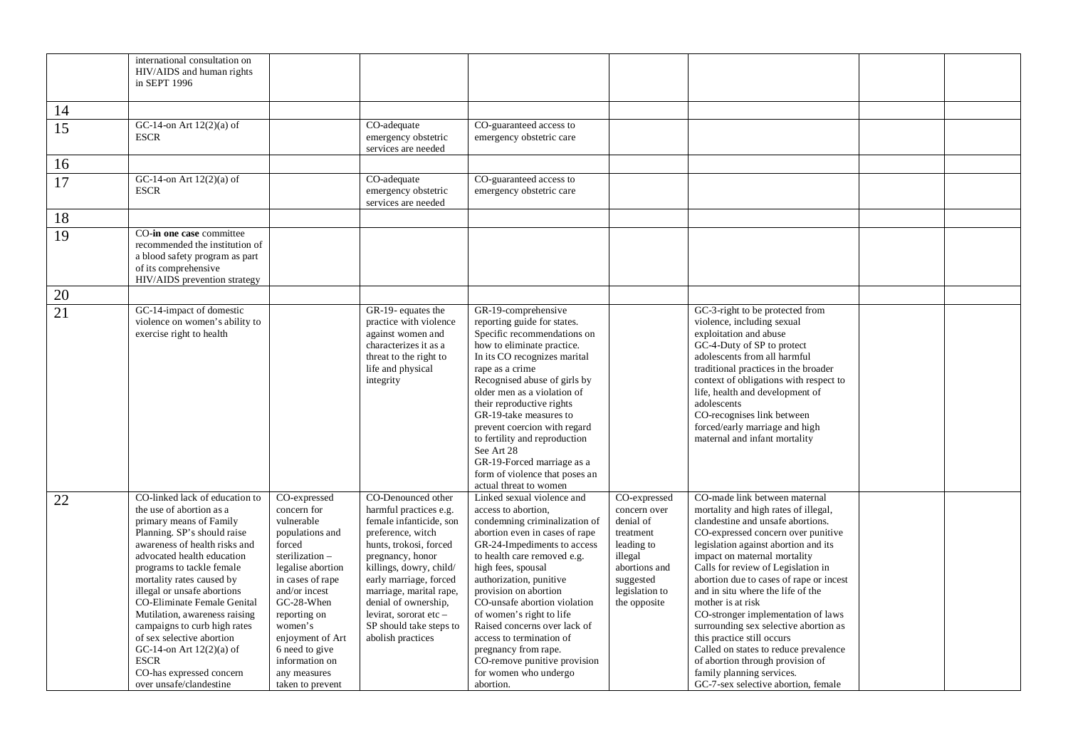|    | international consultation on<br>HIV/AIDS and human rights<br>in SEPT 1996                                                                                                                                                                                                                                                                                                                                                                                                                                    |                                                                                                                                                                                                                                                                                         |                                                                                                                                                                                                                                                                                                                                |                                                                                                                                                                                                                                                                                                                                                                                                                                                                                    |                                                                                                                                                 |                                                                                                                                                                                                                                                                                                                                                                                                                                                                                                                                                                                                                                   |  |
|----|---------------------------------------------------------------------------------------------------------------------------------------------------------------------------------------------------------------------------------------------------------------------------------------------------------------------------------------------------------------------------------------------------------------------------------------------------------------------------------------------------------------|-----------------------------------------------------------------------------------------------------------------------------------------------------------------------------------------------------------------------------------------------------------------------------------------|--------------------------------------------------------------------------------------------------------------------------------------------------------------------------------------------------------------------------------------------------------------------------------------------------------------------------------|------------------------------------------------------------------------------------------------------------------------------------------------------------------------------------------------------------------------------------------------------------------------------------------------------------------------------------------------------------------------------------------------------------------------------------------------------------------------------------|-------------------------------------------------------------------------------------------------------------------------------------------------|-----------------------------------------------------------------------------------------------------------------------------------------------------------------------------------------------------------------------------------------------------------------------------------------------------------------------------------------------------------------------------------------------------------------------------------------------------------------------------------------------------------------------------------------------------------------------------------------------------------------------------------|--|
| 14 |                                                                                                                                                                                                                                                                                                                                                                                                                                                                                                               |                                                                                                                                                                                                                                                                                         |                                                                                                                                                                                                                                                                                                                                |                                                                                                                                                                                                                                                                                                                                                                                                                                                                                    |                                                                                                                                                 |                                                                                                                                                                                                                                                                                                                                                                                                                                                                                                                                                                                                                                   |  |
| 15 | GC-14-on Art 12(2)(a) of<br><b>ESCR</b>                                                                                                                                                                                                                                                                                                                                                                                                                                                                       |                                                                                                                                                                                                                                                                                         | CO-adequate<br>emergency obstetric<br>services are needed                                                                                                                                                                                                                                                                      | CO-guaranteed access to<br>emergency obstetric care                                                                                                                                                                                                                                                                                                                                                                                                                                |                                                                                                                                                 |                                                                                                                                                                                                                                                                                                                                                                                                                                                                                                                                                                                                                                   |  |
| 16 |                                                                                                                                                                                                                                                                                                                                                                                                                                                                                                               |                                                                                                                                                                                                                                                                                         |                                                                                                                                                                                                                                                                                                                                |                                                                                                                                                                                                                                                                                                                                                                                                                                                                                    |                                                                                                                                                 |                                                                                                                                                                                                                                                                                                                                                                                                                                                                                                                                                                                                                                   |  |
| 17 | GC-14-on Art $12(2)(a)$ of<br><b>ESCR</b>                                                                                                                                                                                                                                                                                                                                                                                                                                                                     |                                                                                                                                                                                                                                                                                         | CO-adequate<br>emergency obstetric<br>services are needed                                                                                                                                                                                                                                                                      | CO-guaranteed access to<br>emergency obstetric care                                                                                                                                                                                                                                                                                                                                                                                                                                |                                                                                                                                                 |                                                                                                                                                                                                                                                                                                                                                                                                                                                                                                                                                                                                                                   |  |
| 18 |                                                                                                                                                                                                                                                                                                                                                                                                                                                                                                               |                                                                                                                                                                                                                                                                                         |                                                                                                                                                                                                                                                                                                                                |                                                                                                                                                                                                                                                                                                                                                                                                                                                                                    |                                                                                                                                                 |                                                                                                                                                                                                                                                                                                                                                                                                                                                                                                                                                                                                                                   |  |
| 19 | CO-in one case committee<br>recommended the institution of<br>a blood safety program as part<br>of its comprehensive<br>HIV/AIDS prevention strategy                                                                                                                                                                                                                                                                                                                                                          |                                                                                                                                                                                                                                                                                         |                                                                                                                                                                                                                                                                                                                                |                                                                                                                                                                                                                                                                                                                                                                                                                                                                                    |                                                                                                                                                 |                                                                                                                                                                                                                                                                                                                                                                                                                                                                                                                                                                                                                                   |  |
| 20 |                                                                                                                                                                                                                                                                                                                                                                                                                                                                                                               |                                                                                                                                                                                                                                                                                         |                                                                                                                                                                                                                                                                                                                                |                                                                                                                                                                                                                                                                                                                                                                                                                                                                                    |                                                                                                                                                 |                                                                                                                                                                                                                                                                                                                                                                                                                                                                                                                                                                                                                                   |  |
| 21 | GC-14-impact of domestic<br>violence on women's ability to<br>exercise right to health                                                                                                                                                                                                                                                                                                                                                                                                                        |                                                                                                                                                                                                                                                                                         | GR-19- equates the<br>practice with violence<br>against women and<br>characterizes it as a<br>threat to the right to<br>life and physical<br>integrity                                                                                                                                                                         | GR-19-comprehensive<br>reporting guide for states.<br>Specific recommendations on<br>how to eliminate practice.<br>In its CO recognizes marital<br>rape as a crime<br>Recognised abuse of girls by<br>older men as a violation of<br>their reproductive rights<br>GR-19-take measures to<br>prevent coercion with regard<br>to fertility and reproduction<br>See Art 28<br>GR-19-Forced marriage as a<br>form of violence that poses an<br>actual threat to women                  |                                                                                                                                                 | GC-3-right to be protected from<br>violence, including sexual<br>exploitation and abuse<br>GC-4-Duty of SP to protect<br>adolescents from all harmful<br>traditional practices in the broader<br>context of obligations with respect to<br>life, health and development of<br>adolescents<br>CO-recognises link between<br>forced/early marriage and high<br>maternal and infant mortality                                                                                                                                                                                                                                        |  |
| 22 | CO-linked lack of education to<br>the use of abortion as a<br>primary means of Family<br>Planning. SP's should raise<br>awareness of health risks and<br>advocated health education<br>programs to tackle female<br>mortality rates caused by<br>illegal or unsafe abortions<br>CO-Eliminate Female Genital<br>Mutilation, awareness raising<br>campaigns to curb high rates<br>of sex selective abortion<br>GC-14-on Art $12(2)(a)$ of<br><b>ESCR</b><br>CO-has expressed concern<br>over unsafe/clandestine | CO-expressed<br>concern for<br>vulnerable<br>populations and<br>forced<br>sterilization-<br>legalise abortion<br>in cases of rape<br>and/or incest<br>GC-28-When<br>reporting on<br>women's<br>enjoyment of Art<br>6 need to give<br>information on<br>any measures<br>taken to prevent | CO-Denounced other<br>harmful practices e.g.<br>female infanticide, son<br>preference, witch<br>hunts, trokosi, forced<br>pregnancy, honor<br>killings, dowry, child/<br>early marriage, forced<br>marriage, marital rape,<br>denial of ownership,<br>levirat, sororat etc $-$<br>SP should take steps to<br>abolish practices | Linked sexual violence and<br>access to abortion,<br>condemning criminalization of<br>abortion even in cases of rape<br>GR-24-Impediments to access<br>to health care removed e.g.<br>high fees, spousal<br>authorization, punitive<br>provision on abortion<br>CO-unsafe abortion violation<br>of women's right to life<br>Raised concerns over lack of<br>access to termination of<br>pregnancy from rape.<br>CO-remove punitive provision<br>for women who undergo<br>abortion. | CO-expressed<br>concern over<br>denial of<br>treatment<br>leading to<br>illegal<br>abortions and<br>suggested<br>legislation to<br>the opposite | CO-made link between maternal<br>mortality and high rates of illegal,<br>clandestine and unsafe abortions.<br>CO-expressed concern over punitive<br>legislation against abortion and its<br>impact on maternal mortality<br>Calls for review of Legislation in<br>abortion due to cases of rape or incest<br>and in situ where the life of the<br>mother is at risk<br>CO-stronger implementation of laws<br>surrounding sex selective abortion as<br>this practice still occurs<br>Called on states to reduce prevalence<br>of abortion through provision of<br>family planning services.<br>GC-7-sex selective abortion, female |  |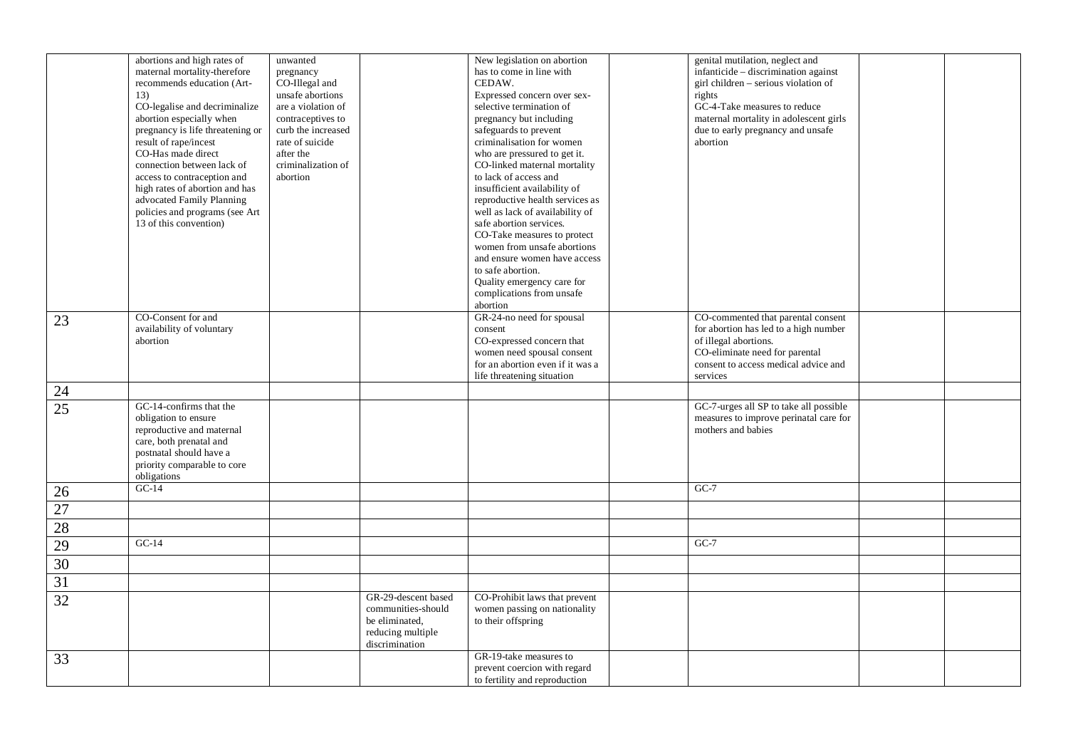|                 | abortions and high rates of           | unwanted           |                     | New legislation on abortion           | genital mutilation, neglect and                                             |  |
|-----------------|---------------------------------------|--------------------|---------------------|---------------------------------------|-----------------------------------------------------------------------------|--|
|                 | maternal mortality-therefore          | pregnancy          |                     | has to come in line with              | infanticide – discrimination against                                        |  |
|                 | recommends education (Art-            | CO-Illegal and     |                     | CEDAW.                                | girl children - serious violation of                                        |  |
|                 | 13)                                   | unsafe abortions   |                     | Expressed concern over sex-           | rights                                                                      |  |
|                 | CO-legalise and decriminalize         | are a violation of |                     | selective termination of              | GC-4-Take measures to reduce                                                |  |
|                 | abortion especially when              | contraceptives to  |                     | pregnancy but including               | maternal mortality in adolescent girls                                      |  |
|                 | pregnancy is life threatening or      | curb the increased |                     | safeguards to prevent                 | due to early pregnancy and unsafe                                           |  |
|                 | result of rape/incest                 | rate of suicide    |                     | criminalisation for women             | abortion                                                                    |  |
|                 | CO-Has made direct                    | after the          |                     | who are pressured to get it.          |                                                                             |  |
|                 | connection between lack of            | criminalization of |                     | CO-linked maternal mortality          |                                                                             |  |
|                 | access to contraception and           | abortion           |                     | to lack of access and                 |                                                                             |  |
|                 | high rates of abortion and has        |                    |                     | insufficient availability of          |                                                                             |  |
|                 | advocated Family Planning             |                    |                     | reproductive health services as       |                                                                             |  |
|                 | policies and programs (see Art        |                    |                     | well as lack of availability of       |                                                                             |  |
|                 | 13 of this convention)                |                    |                     | safe abortion services.               |                                                                             |  |
|                 |                                       |                    |                     | CO-Take measures to protect           |                                                                             |  |
|                 |                                       |                    |                     | women from unsafe abortions           |                                                                             |  |
|                 |                                       |                    |                     | and ensure women have access          |                                                                             |  |
|                 |                                       |                    |                     | to safe abortion.                     |                                                                             |  |
|                 |                                       |                    |                     | Quality emergency care for            |                                                                             |  |
|                 |                                       |                    |                     | complications from unsafe<br>abortion |                                                                             |  |
|                 |                                       |                    |                     | GR-24-no need for spousal             |                                                                             |  |
| 23              | CO-Consent for and                    |                    |                     | consent                               | CO-commented that parental consent<br>for abortion has led to a high number |  |
|                 | availability of voluntary<br>abortion |                    |                     | CO-expressed concern that             | of illegal abortions.                                                       |  |
|                 |                                       |                    |                     | women need spousal consent            | CO-eliminate need for parental                                              |  |
|                 |                                       |                    |                     | for an abortion even if it was a      | consent to access medical advice and                                        |  |
|                 |                                       |                    |                     | life threatening situation            | services                                                                    |  |
|                 |                                       |                    |                     |                                       |                                                                             |  |
| $24\,$          |                                       |                    |                     |                                       |                                                                             |  |
| $\overline{25}$ | GC-14-confirms that the               |                    |                     |                                       | GC-7-urges all SP to take all possible                                      |  |
|                 | obligation to ensure                  |                    |                     |                                       | measures to improve perinatal care for                                      |  |
|                 | reproductive and maternal             |                    |                     |                                       | mothers and babies                                                          |  |
|                 | care, both prenatal and               |                    |                     |                                       |                                                                             |  |
|                 | postnatal should have a               |                    |                     |                                       |                                                                             |  |
|                 | priority comparable to core           |                    |                     |                                       |                                                                             |  |
|                 | obligations<br>$\overline{GC-14}$     |                    |                     |                                       | $GC-7$                                                                      |  |
| 26              |                                       |                    |                     |                                       |                                                                             |  |
| 27              |                                       |                    |                     |                                       |                                                                             |  |
| 28              |                                       |                    |                     |                                       |                                                                             |  |
| 29              | $GC-14$                               |                    |                     |                                       | $GC-7$                                                                      |  |
| 30              |                                       |                    |                     |                                       |                                                                             |  |
| 31              |                                       |                    |                     |                                       |                                                                             |  |
| 32              |                                       |                    | GR-29-descent based | CO-Prohibit laws that prevent         |                                                                             |  |
|                 |                                       |                    | communities-should  | women passing on nationality          |                                                                             |  |
|                 |                                       |                    | be eliminated,      | to their offspring                    |                                                                             |  |
|                 |                                       |                    | reducing multiple   |                                       |                                                                             |  |
|                 |                                       |                    | discrimination      |                                       |                                                                             |  |
| 33              |                                       |                    |                     | GR-19-take measures to                |                                                                             |  |
|                 |                                       |                    |                     | prevent coercion with regard          |                                                                             |  |
|                 |                                       |                    |                     | to fertility and reproduction         |                                                                             |  |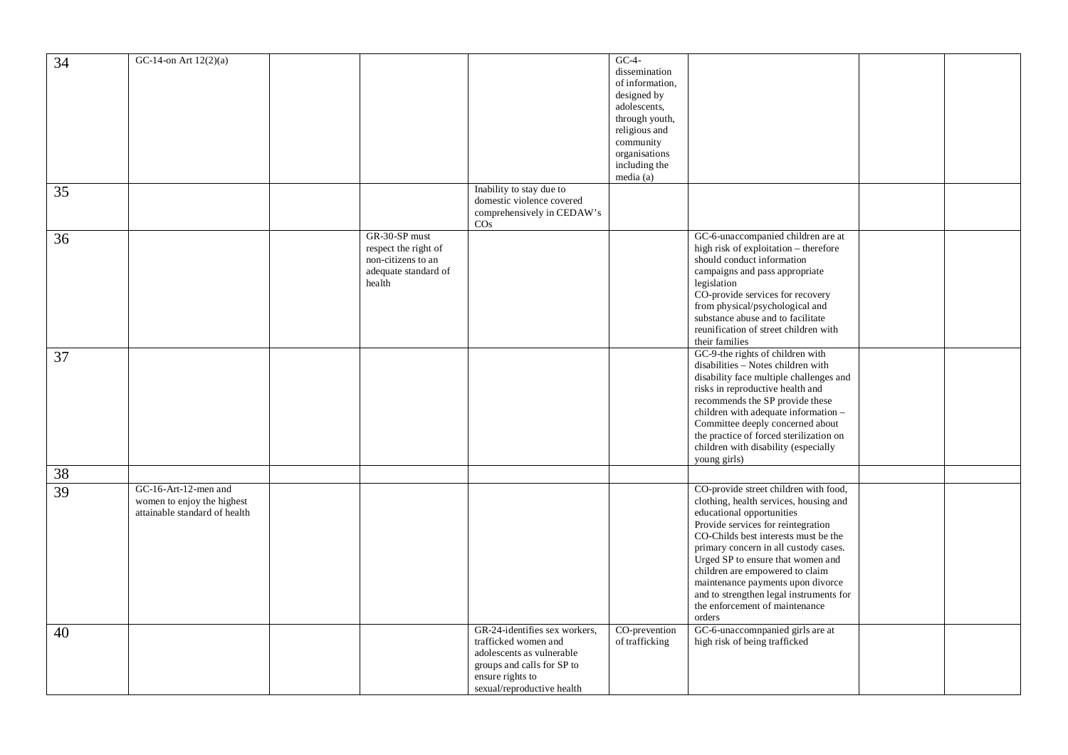|    | GC-14-on Art $12(2)(a)$       |                      |                               | $GC-4-$         |                                         |  |
|----|-------------------------------|----------------------|-------------------------------|-----------------|-----------------------------------------|--|
| 34 |                               |                      |                               |                 |                                         |  |
|    |                               |                      |                               | dissemination   |                                         |  |
|    |                               |                      |                               | of information, |                                         |  |
|    |                               |                      |                               | designed by     |                                         |  |
|    |                               |                      |                               | adolescents,    |                                         |  |
|    |                               |                      |                               | through youth,  |                                         |  |
|    |                               |                      |                               | religious and   |                                         |  |
|    |                               |                      |                               | community       |                                         |  |
|    |                               |                      |                               | organisations   |                                         |  |
|    |                               |                      |                               |                 |                                         |  |
|    |                               |                      |                               | including the   |                                         |  |
|    |                               |                      |                               | media (a)       |                                         |  |
| 35 |                               |                      | Inability to stay due to      |                 |                                         |  |
|    |                               |                      | domestic violence covered     |                 |                                         |  |
|    |                               |                      | comprehensively in CEDAW's    |                 |                                         |  |
|    |                               |                      | $\cos$                        |                 |                                         |  |
|    |                               | GR-30-SP must        |                               |                 | GC-6-unaccompanied children are at      |  |
| 36 |                               |                      |                               |                 | high risk of exploitation - therefore   |  |
|    |                               | respect the right of |                               |                 |                                         |  |
|    |                               | non-citizens to an   |                               |                 | should conduct information              |  |
|    |                               | adequate standard of |                               |                 | campaigns and pass appropriate          |  |
|    |                               | health               |                               |                 | legislation                             |  |
|    |                               |                      |                               |                 | CO-provide services for recovery        |  |
|    |                               |                      |                               |                 | from physical/psychological and         |  |
|    |                               |                      |                               |                 | substance abuse and to facilitate       |  |
|    |                               |                      |                               |                 | reunification of street children with   |  |
|    |                               |                      |                               |                 |                                         |  |
|    |                               |                      |                               |                 | their families                          |  |
| 37 |                               |                      |                               |                 | GC-9-the rights of children with        |  |
|    |                               |                      |                               |                 | disabilities - Notes children with      |  |
|    |                               |                      |                               |                 | disability face multiple challenges and |  |
|    |                               |                      |                               |                 | risks in reproductive health and        |  |
|    |                               |                      |                               |                 | recommends the SP provide these         |  |
|    |                               |                      |                               |                 | children with adequate information -    |  |
|    |                               |                      |                               |                 | Committee deeply concerned about        |  |
|    |                               |                      |                               |                 |                                         |  |
|    |                               |                      |                               |                 | the practice of forced sterilization on |  |
|    |                               |                      |                               |                 | children with disability (especially    |  |
|    |                               |                      |                               |                 | young girls)                            |  |
| 38 |                               |                      |                               |                 |                                         |  |
|    |                               |                      |                               |                 |                                         |  |
| 39 | GC-16-Art-12-men and          |                      |                               |                 | CO-provide street children with food,   |  |
|    | women to enjoy the highest    |                      |                               |                 | clothing, health services, housing and  |  |
|    | attainable standard of health |                      |                               |                 | educational opportunities               |  |
|    |                               |                      |                               |                 | Provide services for reintegration      |  |
|    |                               |                      |                               |                 | CO-Childs best interests must be the    |  |
|    |                               |                      |                               |                 | primary concern in all custody cases.   |  |
|    |                               |                      |                               |                 | Urged SP to ensure that women and       |  |
|    |                               |                      |                               |                 | children are empowered to claim         |  |
|    |                               |                      |                               |                 |                                         |  |
|    |                               |                      |                               |                 | maintenance payments upon divorce       |  |
|    |                               |                      |                               |                 | and to strengthen legal instruments for |  |
|    |                               |                      |                               |                 | the enforcement of maintenance          |  |
|    |                               |                      |                               |                 | orders                                  |  |
| 40 |                               |                      | GR-24-identifies sex workers, | CO-prevention   | GC-6-unaccomnpanied girls are at        |  |
|    |                               |                      | trafficked women and          | of trafficking  | high risk of being trafficked           |  |
|    |                               |                      | adolescents as vulnerable     |                 |                                         |  |
|    |                               |                      |                               |                 |                                         |  |
|    |                               |                      | groups and calls for SP to    |                 |                                         |  |
|    |                               |                      | ensure rights to              |                 |                                         |  |
|    |                               |                      | sexual/reproductive health    |                 |                                         |  |